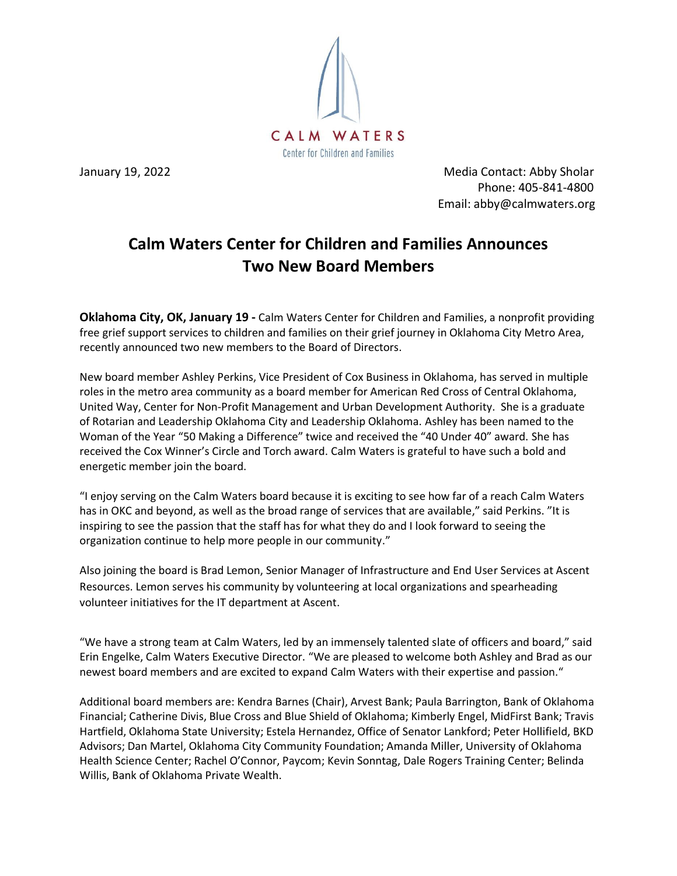

January 19, 2022 **Media Contact: Abby Sholar** Phone: 405-841-4800 Email: abby@calmwaters.org

## **Calm Waters Center for Children and Families Announces Two New Board Members**

**Oklahoma City, OK, January 19 -** Calm Waters Center for Children and Families, a nonprofit providing free grief support services to children and families on their grief journey in Oklahoma City Metro Area, recently announced two new members to the Board of Directors.

New board member Ashley Perkins, Vice President of Cox Business in Oklahoma, has served in multiple roles in the metro area community as a board member for American Red Cross of Central Oklahoma, United Way, Center for Non-Profit Management and Urban Development Authority. She is a graduate of Rotarian and Leadership Oklahoma City and Leadership Oklahoma. Ashley has been named to the Woman of the Year "50 Making a Difference" twice and received the "40 Under 40" award. She has received the Cox Winner's Circle and Torch award. Calm Waters is grateful to have such a bold and energetic member join the board.

"I enjoy serving on the Calm Waters board because it is exciting to see how far of a reach Calm Waters has in OKC and beyond, as well as the broad range of services that are available," said Perkins. "It is inspiring to see the passion that the staff has for what they do and I look forward to seeing the organization continue to help more people in our community."

Also joining the board is Brad Lemon, Senior Manager of Infrastructure and End User Services at Ascent Resources. Lemon serves his community by volunteering at local organizations and spearheading volunteer initiatives for the IT department at Ascent.

"We have a strong team at Calm Waters, led by an immensely talented slate of officers and board," said Erin Engelke, Calm Waters Executive Director. "We are pleased to welcome both Ashley and Brad as our newest board members and are excited to expand Calm Waters with their expertise and passion."

Additional board members are: Kendra Barnes (Chair), Arvest Bank; Paula Barrington, Bank of Oklahoma Financial; Catherine Divis, Blue Cross and Blue Shield of Oklahoma; Kimberly Engel, MidFirst Bank; Travis Hartfield, Oklahoma State University; Estela Hernandez, Office of Senator Lankford; Peter Hollifield, BKD Advisors; Dan Martel, Oklahoma City Community Foundation; Amanda Miller, University of Oklahoma Health Science Center; Rachel O'Connor, Paycom; Kevin Sonntag, Dale Rogers Training Center; Belinda Willis, Bank of Oklahoma Private Wealth.